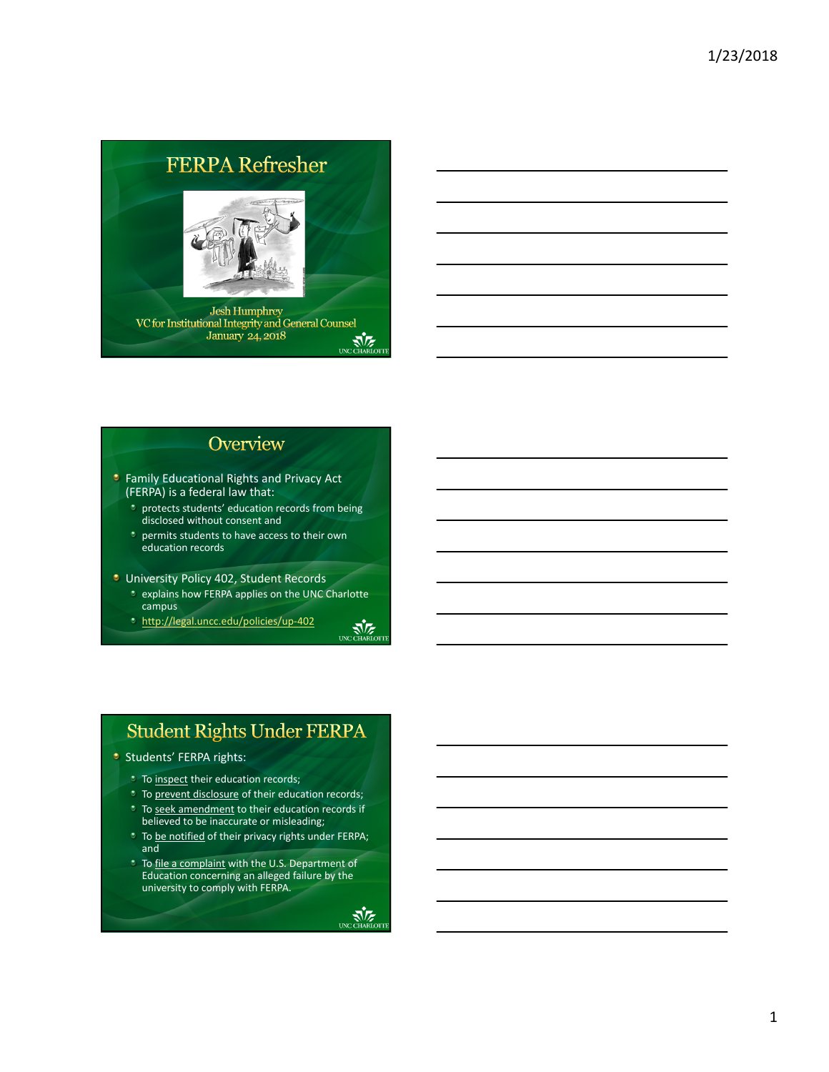# **FERPA Refresher Jesh Humphrey** VC for Institutional Integrity and General Counsel<br>January 24, 2018 UNC CHARLOTT

## Overview

- **Family Educational Rights and Privacy Act** (FERPA) is a federal law that:
	- protects students' education records from being disclosed without consent and
	- *p* permits students to have access to their own education records
- **University Policy 402, Student Records** 
	- **t** explains how FERPA applies on the UNC Charlotte campus
	- http://legal.uncc.edu/policies/up‐402



- **Students' FERPA rights:** 
	- **To inspect their education records;**
	- <sup>t</sup> To prevent disclosure of their education records;
	- To seek amendment to their education records if believed to be inaccurate or misleading;
	- **To be notified of their privacy rights under FERPA;** and
	- **To file a complaint with the U.S. Department of** Education concerning an alleged failure by the university to comply with FERPA.



UNC CHARLOTT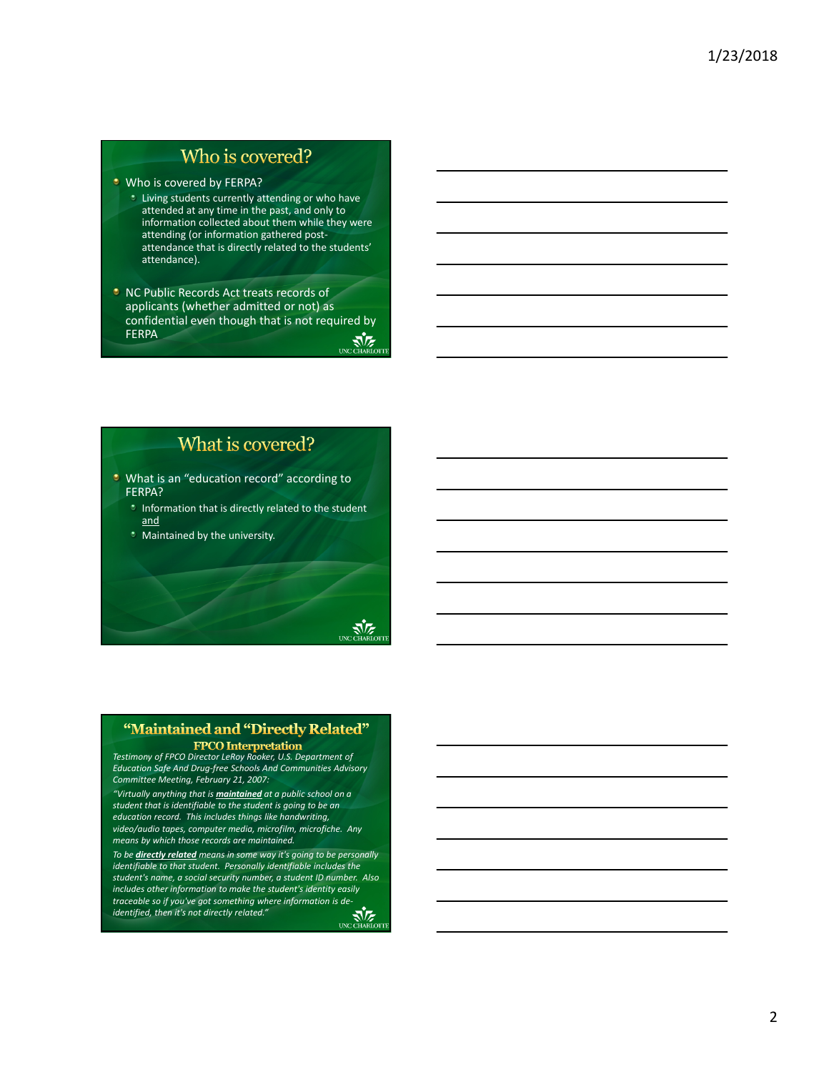## Who is covered?

**Who is covered by FERPA?** 

- Living students currently attending or who have attended at any time in the past, and only to information collected about them while they were attending (or information gathered post‐ attendance that is directly related to the students' attendance).
- **NC Public Records Act treats records of** applicants (whether admitted or not) as confidential even though that is not required by FERPA CHARLOTT

What is covered?

- **U** What is an "education record" according to FERPA?
	- **Information that is directly related to the student** and

र्जेट

**\*** Maintained by the university.



*Testimony of FPCO Director LeRoy Rooker, U.S. Department of Education Safe And Drug‐free Schools And Communities Advisory Committee Meeting, February 21, 2007:*

*"Virtually anything that is maintained at a public school on a student that is identifiable to the student is going to be an education record. This includes things like handwriting, video/audio tapes, computer media, microfilm, microfiche. Any means by which those records are maintained.*

*To be directly related means in some way it's going to be personally identifiable to that student. Personally identifiable includes the student's name, a social security number, a student ID number. Also includes other information to make the student's identity easily traceable so if you've got something where information is de‐ identified, then it's not directly related."*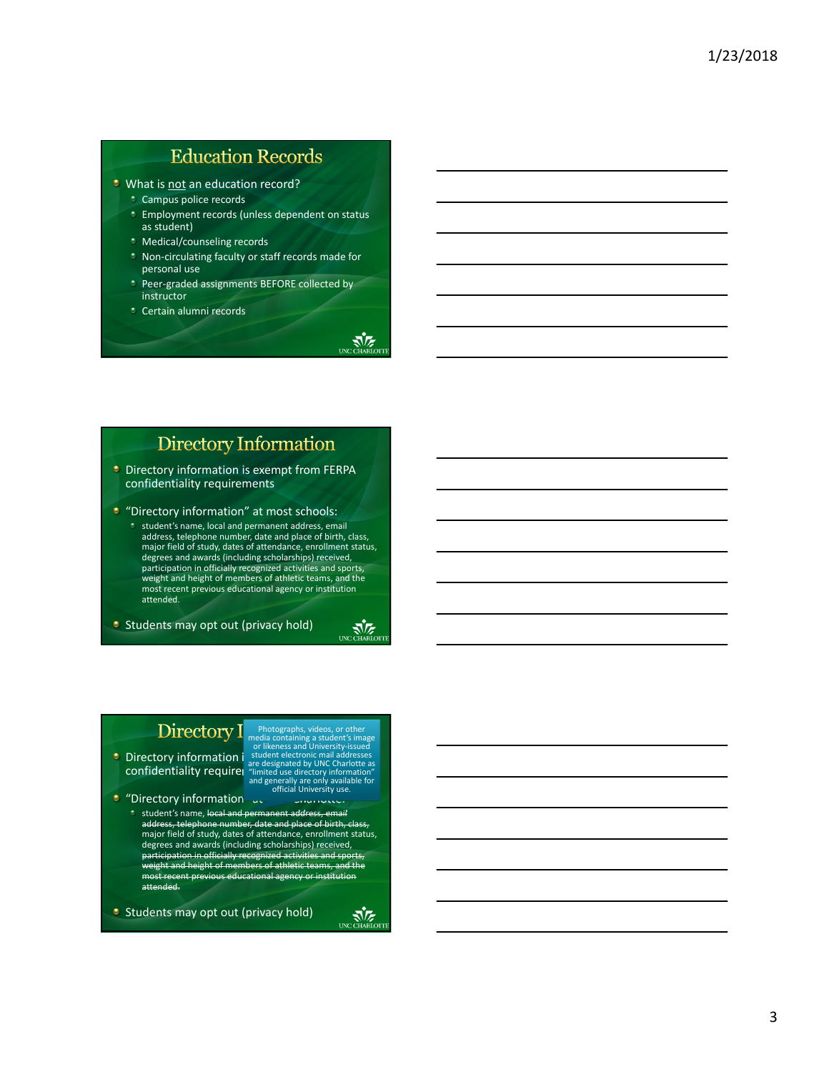# **Education Records**

- **U** What is not an education record?
	- Campus police records
	- **Employment records (unless dependent on status** as student)
	- Medical/counseling records
	- Non‐circulating faculty or staff records made for personal use
	- Peer‐graded assignments BEFORE collected by instructor
	- Certain alumni records

## **Directory Information**

- **Directory information is exempt from FERPA** confidentiality requirements
- **C** "Directory information" at most schools:
	- student's name, local and permanent address, email address, telephone number, date and place of birth, class, major field of study, dates of attendance, enrollment status, degrees and awards (including scholarships) received, participation in officially recognized activities and sports, weight and height of members of athletic teams, and the most recent previous educational agency or institution attended.

**Students may opt out (privacy hold)** 



**AVE** 

## Directory I

**confidentiality requirer** are de

Directory information i student electronic mail addresses<br>confidentiality requirel are designated by UNC Charlotte as<br>confidentiality requirel "limited use directory information" media containing a student's image or likeness and University‐issued and generally are only available for official University use.

Photographs, videos, or other

- **C** "Directory information" at The University student's name, local and permanent address, email address, telephone number, date and place of birth,
	- major field of study, dates of attendance, enrollment status, degrees and awards (including scholarships) received, participation in officially recognized activities and sports, weight and height of members of athletic teams, and the most recent previous educational agency attended.

**Students may opt out (privacy hold)** 

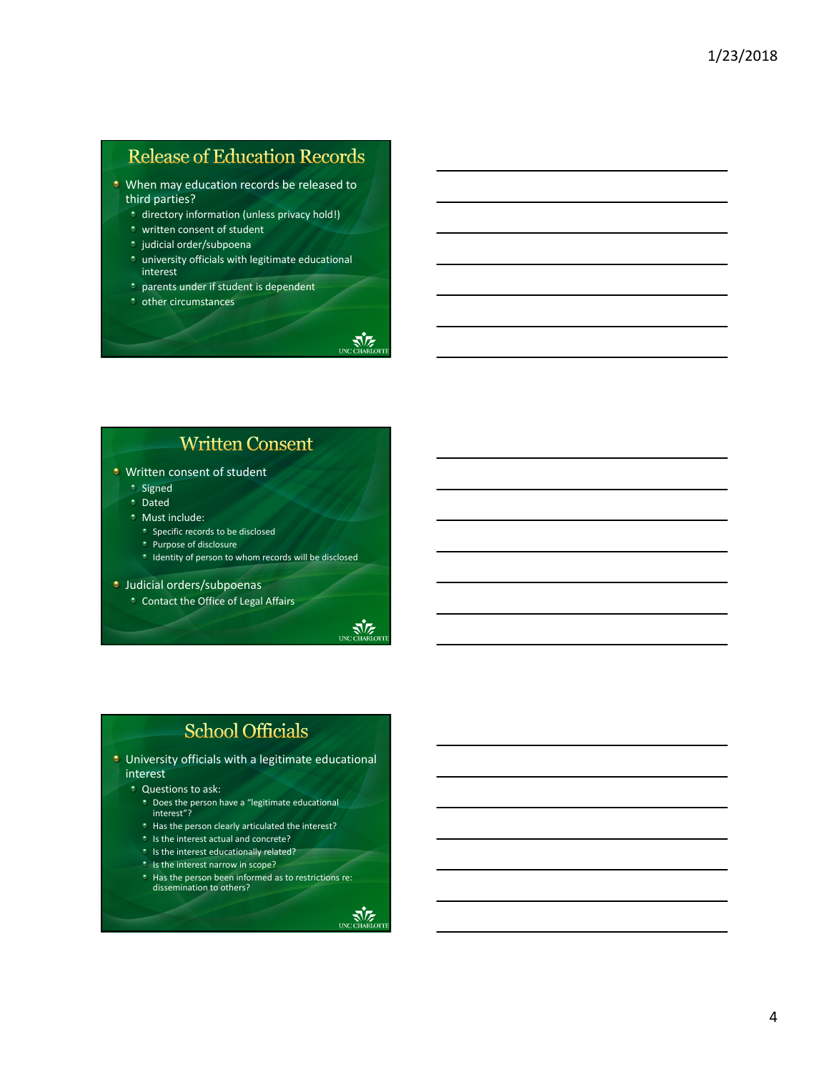# **Release of Education Records**

- **U** When may education records be released to third parties?
	- *t* directory information (unless privacy hold!)
	- *\** written consent of student
	- <sup>\*</sup> judicial order/subpoena
	- $\cdot$  university officials with legitimate educational interest
	- $\bullet$  parents under if student is dependent
	- other circumstances

# **Written Consent**

- **U** Written consent of student
	- Signed
	- Dated
	- **Must include:**
	- **\*** Specific records to be disclosed
	- **\*** Purpose of disclosure
	- $\bullet$  Identity of person to whom records will be disclosed
- **Judicial orders/subpoenas** 
	- Contact the Office of Legal Affairs



**NE** 

# **School Officials**

- **University officials with a legitimate educational** interest
	- **C**uestions to ask:
	- Does the person have a "legitimate educational interest"?
	- **\*** Has the person clearly articulated the interest?
	- $\cdot$  Is the interest actual and concrete?
	- **Is the interest educationally related?**
	- **Is the interest narrow in scope?**
	- **Has the person been informed as to restrictions re:** dissemination to others?

 $\sqrt{\sqrt{\varepsilon}}$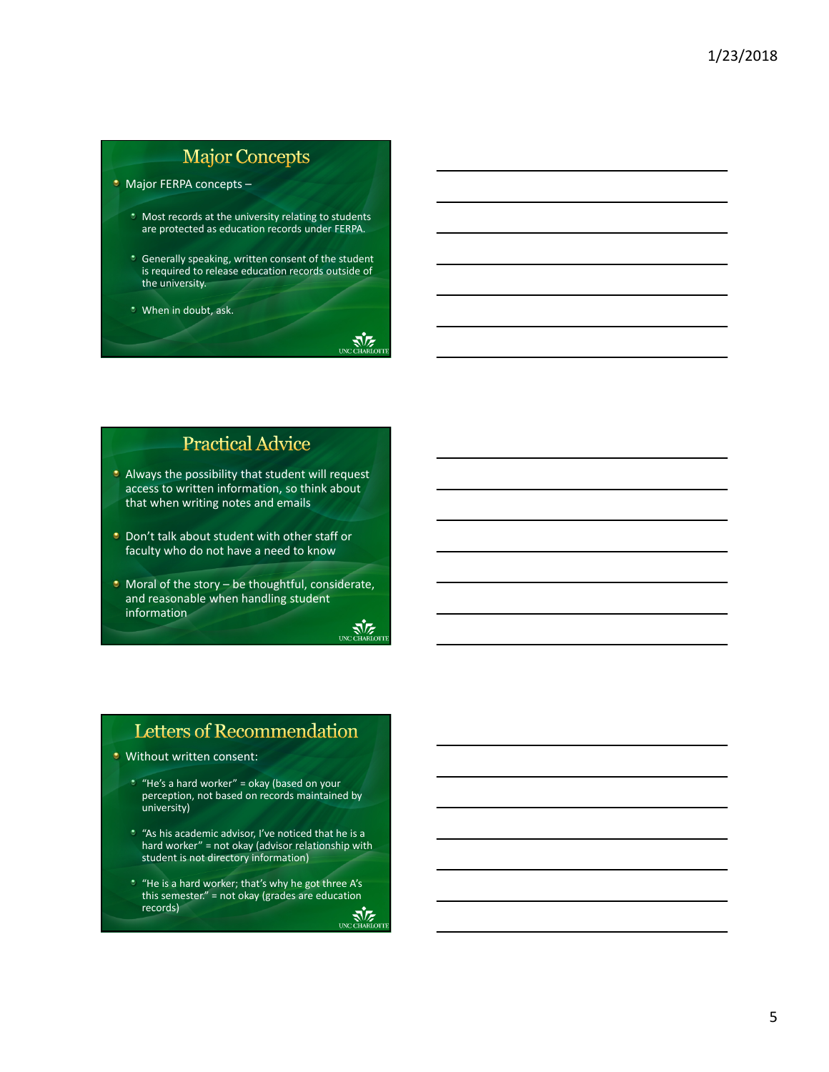# **Major Concepts**

• Major FERPA concepts -

- **Most records at the university relating to students** are protected as education records under FERPA.
- **Generally speaking, written consent of the student** is required to release education records outside of the university.

**NE** 

When in doubt, ask.

## **Practical Advice**

- **Always the possibility that student will request** access to written information, so think about that when writing notes and emails
- **Don't talk about student with other staff or** faculty who do not have a need to know
- $\bullet$  Moral of the story be thoughtful, considerate, and reasonable when handling student information UNC CHARLOTT

# Letters of Recommendation

- **U** Without written consent:
	- $*$  "He's a hard worker" = okay (based on your perception, not based on records maintained by university)
	- "As his academic advisor, I've noticed that he is a hard worker" = not okay (advisor relationship with student is not directory information)
	- "He is a hard worker; that's why he got three A's this semester." = not okay (grades are education records)UNC CHARLOTT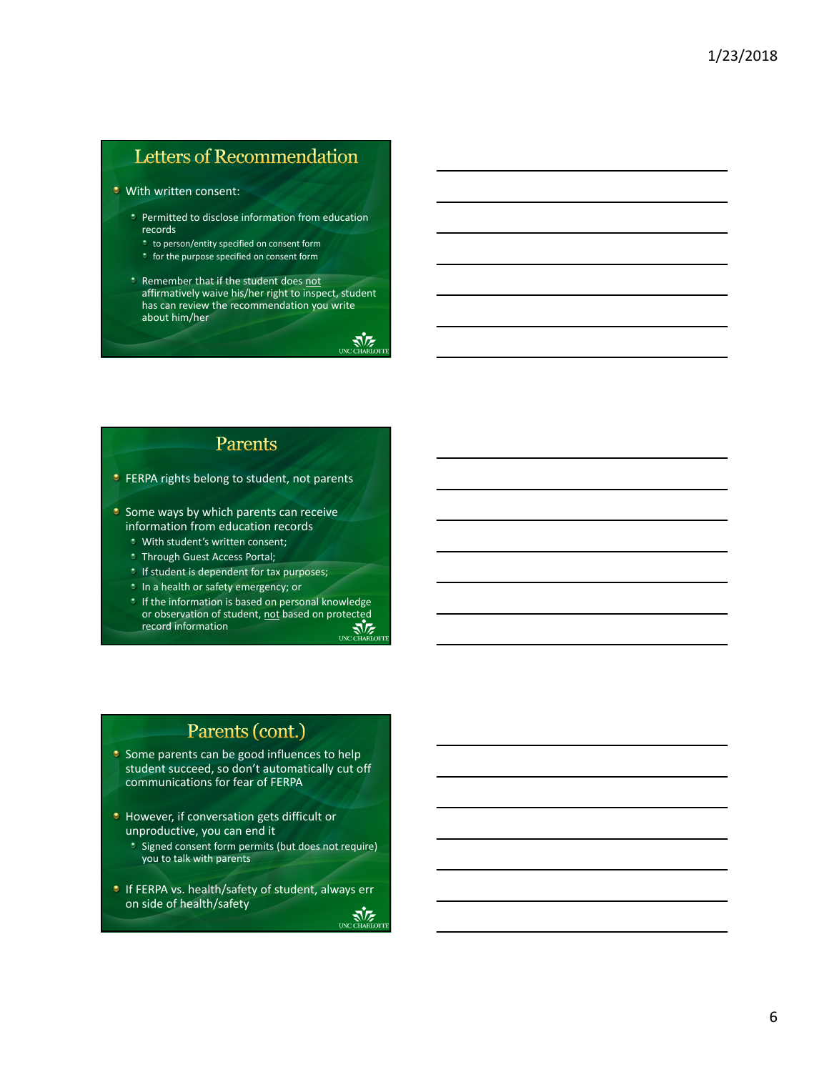# Letters of Recommendation

#### With written consent:

- Permitted to disclose information from education records
	- to person/entity specified on consent form
	- **t** for the purpose specified on consent form
- Remember that if the student does not affirmatively waive his/her right to inspect, student has can review the recommendation you write about him/her

UNC CHARLOT

## Parents

- **C** FERPA rights belong to student, not parents
- $\bullet$  Some ways by which parents can receive information from education records
	- With student's written consent;
	- **Through Guest Access Portal;**
	- *If student is dependent for tax purposes;*
	- **In a health or safety emergency; or**
	- $\cdot$  If the information is based on personal knowledge or observation of student, <u>not</u> based on protected<br>record information<br>UNCOTIARIOTH record information

## Parents (cont.)

- Some parents can be good influences to help student succeed, so don't automatically cut off communications for fear of FERPA
- **However, if conversation gets difficult or** unproductive, you can end it
	- \* Signed consent form permits (but does not require) you to talk with parents
- **If FERPA vs. health/safety of student, always err** on side of health/safety $\sum_{\text{UNC CHABL}}$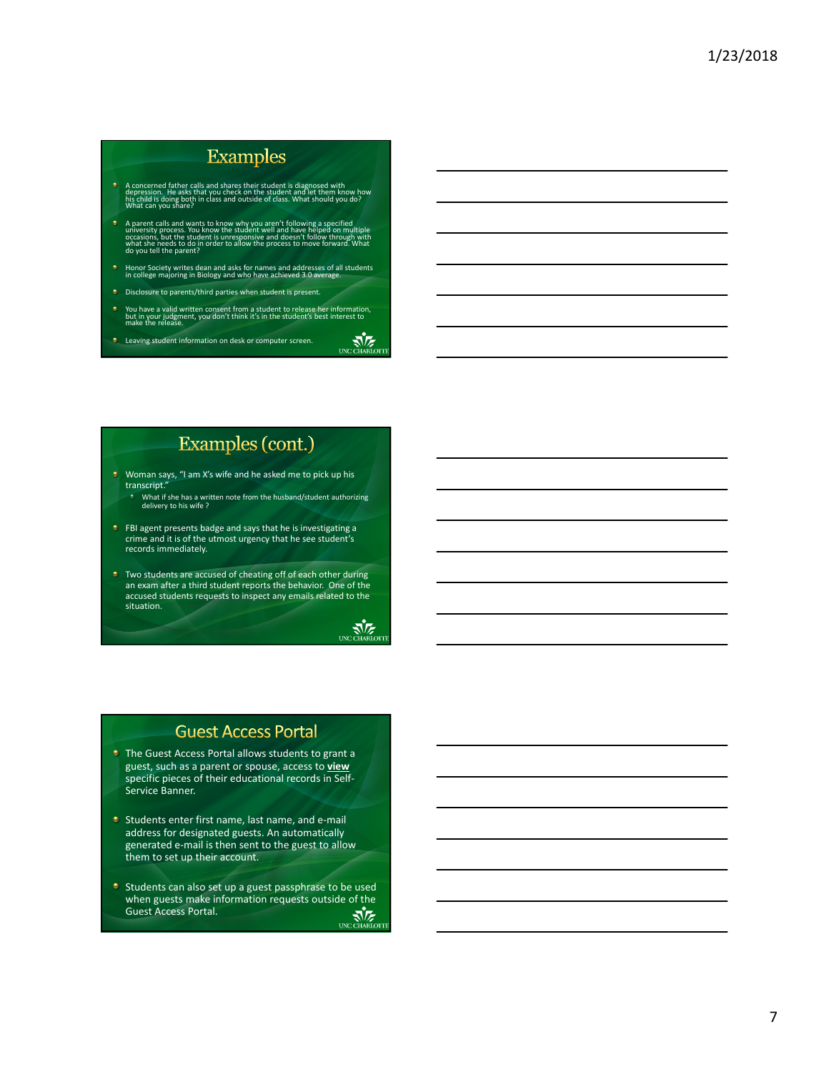## **Examples**

- A concerned father calls and shares their student is diagnosed with<br>depression. He asks that you check on the student and let them know how<br>his child is doing both in class and outside of class. What should you do?<br>What ca
- A parent calls and wants to know why you aren't following a specified<br>university process. You know the student well and have helped on<br>casions, but the student is unresponsive and doesn't follow through with<br>of a beneds to
- Honor Society writes dean and asks for names and addresses of all students in college majoring in Biology and who have achieved 3.0 average.
- Disclosure to parents/third parties when student is present.
- You have a valid written consent from a student to release her information,<br>but in your judgment, you don't think it's in the student's best interest to<br>make the release.
- UNC CHARLOTT **C** Leaving student information on desk or computer screen.

# Examples (cont.)

- Woman says, "I am X's wife and he asked me to pick up his transcript."
- What if she has a written note from the husband/student authorizing delivery to his wife ?
- $\bullet$ FBI agent presents badge and says that he is investigating a crime and it is of the utmost urgency that he see student's records immediately.
- **•** Two students are accused of cheating off of each other during an exam after a third student reports the behavior. One of the accused students requests to inspect any emails related to the situation.

# UNC CHARLOTT

## **Guest Access Portal**

- **The Guest Access Portal allows students to grant a** guest, such as a parent or spouse, access to **view** specific pieces of their educational records in Self‐ Service Banner.
- Students enter first name, last name, and e-mail address for designated guests. An automatically generated e‐mail is then sent to the guest to allow them to set up their account.
- **Students can also set up a guest passphrase to be used** when guests make information requests outside of the<br>Guest Access Portal.<br>COLORED MARIOTH Guest Access Portal.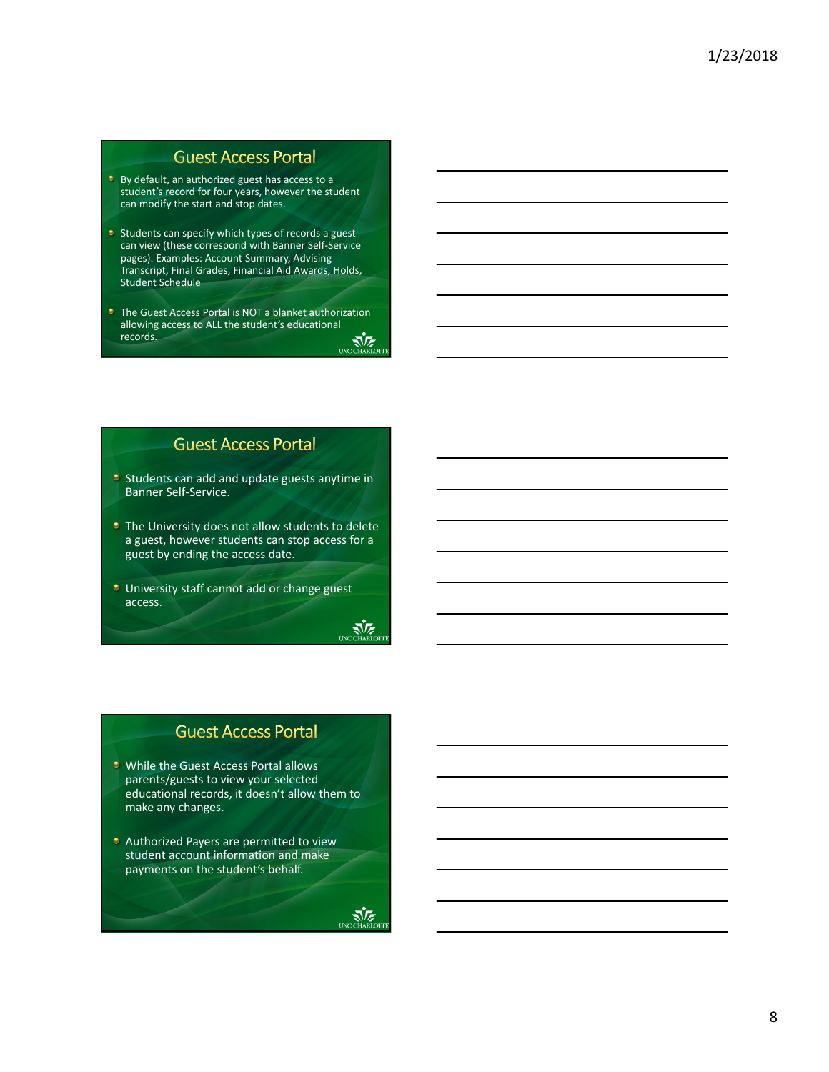### **Guest Access Portal**

- **By default, an authorized guest has access to a** student's record for four years, however the student can modify the start and stop dates.
- $\bullet$  Students can specify which types of records a guest can view (these correspond with Banner Self‐Service pages). Examples: Account Summary, Advising Transcript, Final Grades, Financial Aid Awards, Holds, Student Schedule
- **The Guest Access Portal is NOT a blanket authorization** allowing access to ALL the student's educational records. UNC CHARLOTTE

## **Guest Access Portal**

- $\bullet$  Students can add and update guests anytime in Banner Self‐Service.
- **The University does not allow students to delete** a guest, however students can stop access for a guest by ending the access date.

 $\sum_{\text{UNC CHARI}}$ 

**University staff cannot add or change guest** access.

## **Guest Access Portal**

- **U** While the Guest Access Portal allows parents/guests to view your selected educational records, it doesn't allow them to make any changes.
- **C** Authorized Payers are permitted to view student account information and make payments on the student's behalf.